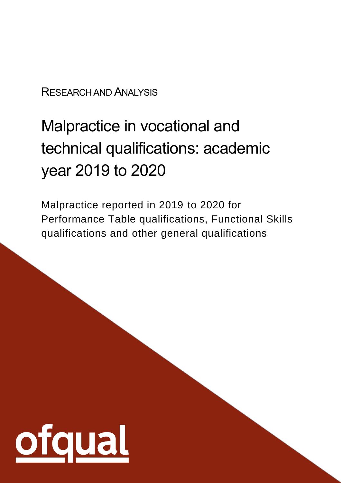#### RESEARCH AND ANALYSIS

# Malpractice in vocational and technical qualifications: academic year 2019 to 2020

Malpractice reported in 2019 to 2020 for Performance Table qualifications, Functional Skills qualifications and other general qualifications

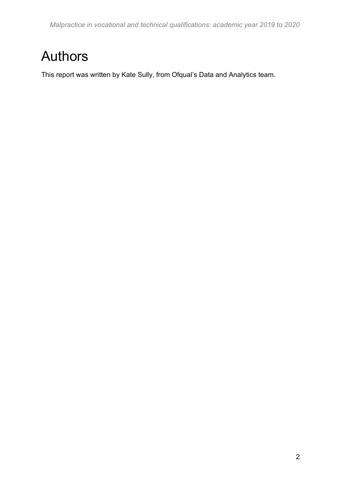# <span id="page-1-0"></span>Authors

This report was written by Kate Sully, from Ofqual's Data and Analytics team.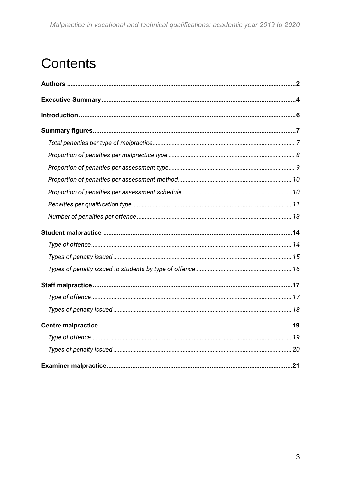# **Contents**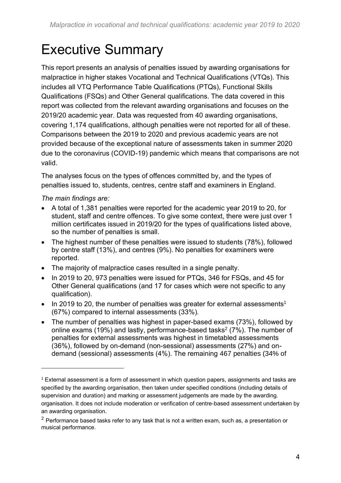# <span id="page-3-0"></span>Executive Summary

This report presents an analysis of penalties issued by awarding organisations for malpractice in higher stakes Vocational and Technical Qualifications (VTQs). This includes all VTQ Performance Table Qualifications (PTQs), Functional Skills Qualifications (FSQs) and Other General qualifications. The data covered in this report was collected from the relevant awarding organisations and focuses on the 2019/20 academic year. Data was requested from 40 awarding organisations, covering 1,174 qualifications, although penalties were not reported for all of these. Comparisons between the 2019 to 2020 and previous academic years are not provided because of the exceptional nature of assessments taken in summer 2020 due to the coronavirus (COVID-19) pandemic which means that comparisons are not valid.

The analyses focus on the types of offences committed by, and the types of penalties issued to, students, centres, centre staff and examiners in England.

*The main findings are:*

- A total of 1,381 penalties were reported for the academic year 2019 to 20, for student, staff and centre offences. To give some context, there were just over 1 million certificates issued in 2019/20 for the types of qualifications listed above, so the number of penalties is small.
- The highest number of these penalties were issued to students (78%), followed by centre staff (13%), and centres (9%). No penalties for examiners were reported.
- The majority of malpractice cases resulted in a single penalty.
- In 2019 to 20, 973 penalties were issued for PTQs, 346 for FSQs, and 45 for Other General qualifications (and 17 for cases which were not specific to any qualification).
- In 2019 to 20, the number of penalties was greater for external assessments<sup>1</sup> (67%) compared to internal assessments (33%).
- The number of penalties was highest in paper-based exams (73%), followed by online exams (19%) and lastly, performance-based tasks<sup>2</sup> (7%). The number of penalties for external assessments was highest in timetabled assessments (36%), followed by on-demand (non-sessional) assessments (27%) and ondemand (sessional) assessments (4%). The remaining 467 penalties (34% of

 $1$  External assessment is a form of assessment in which question papers, assignments and tasks are specified by the awarding organisation, then taken under specified conditions (including details of supervision and duration) and marking or assessment judgements are made by the awarding. organisation. It does not include moderation or verification of centre-based assessment undertaken by an awarding organisation.

 $2$  Performance based tasks refer to any task that is not a written exam, such as, a presentation or musical performance.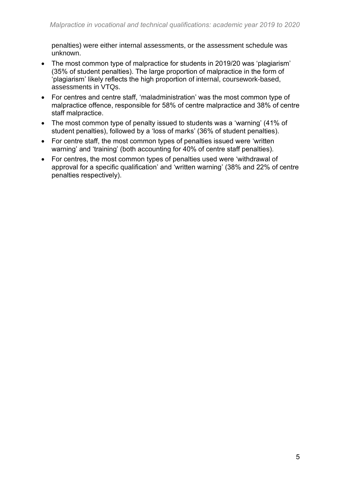penalties) were either internal assessments, or the assessment schedule was unknown.

- The most common type of malpractice for students in 2019/20 was 'plagiarism' (35% of student penalties). The large proportion of malpractice in the form of 'plagiarism' likely reflects the high proportion of internal, coursework-based, assessments in VTQs.
- For centres and centre staff, 'maladministration' was the most common type of malpractice offence, responsible for 58% of centre malpractice and 38% of centre staff malpractice.
- The most common type of penalty issued to students was a 'warning' (41% of student penalties), followed by a 'loss of marks' (36% of student penalties).
- For centre staff, the most common types of penalties issued were 'written warning' and 'training' (both accounting for 40% of centre staff penalties).
- For centres, the most common types of penalties used were 'withdrawal of approval for a specific qualification' and 'written warning' (38% and 22% of centre penalties respectively).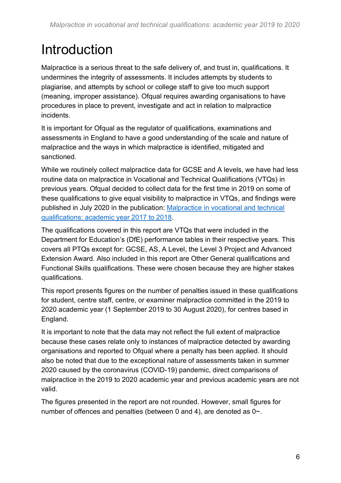# <span id="page-5-0"></span>Introduction

Malpractice is a serious threat to the safe delivery of, and trust in, qualifications. It undermines the integrity of assessments. It includes attempts by students to plagiarise, and attempts by school or college staff to give too much support (meaning, improper assistance). Ofqual requires awarding organisations to have procedures in place to prevent, investigate and act in relation to malpractice incidents.

It is important for Ofqual as the regulator of qualifications, examinations and assessments in England to have a good understanding of the scale and nature of malpractice and the ways in which malpractice is identified, mitigated and sanctioned.

While we routinely collect malpractice data for GCSE and A levels, we have had less routine data on malpractice in Vocational and Technical Qualifications (VTQs) in previous years. Ofqual decided to collect data for the first time in 2019 on some of these qualifications to give equal visibility to malpractice in VTQs, and findings were published in July 2020 in the publication: [Malpractice in vocational and technical](https://www.gov.uk/government/publications/malpractice-in-vocational-and-technical-qualifications-academic-year-2017-to-2018)  [qualifications: academic year 2017 to 2018.](https://www.gov.uk/government/publications/malpractice-in-vocational-and-technical-qualifications-academic-year-2017-to-2018)

The qualifications covered in this report are VTQs that were included in the Department for Education's (DfE) performance tables in their respective years. This covers all PTQs except for: GCSE, AS, A Level, the Level 3 Project and Advanced Extension Award. Also included in this report are Other General qualifications and Functional Skills qualifications. These were chosen because they are higher stakes qualifications.

This report presents figures on the number of penalties issued in these qualifications for student, centre staff, centre, or examiner malpractice committed in the 2019 to 2020 academic year (1 September 2019 to 30 August 2020), for centres based in England.

It is important to note that the data may not reflect the full extent of malpractice because these cases relate only to instances of malpractice detected by awarding organisations and reported to Ofqual where a penalty has been applied. It should also be noted that due to the exceptional nature of assessments taken in summer 2020 caused by the coronavirus (COVID-19) pandemic, direct comparisons of malpractice in the 2019 to 2020 academic year and previous academic years are not valid.

The figures presented in the report are not rounded. However, small figures for number of offences and penalties (between 0 and 4), are denoted as 0~.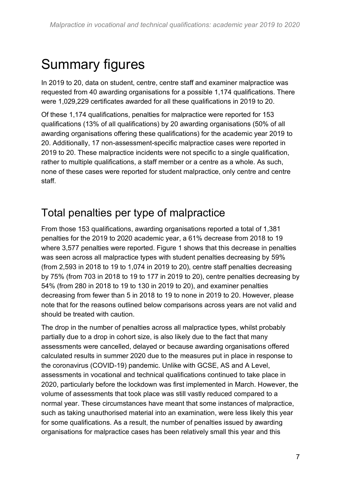# <span id="page-6-0"></span>Summary figures

In 2019 to 20, data on student, centre, centre staff and examiner malpractice was requested from 40 awarding organisations for a possible 1,174 qualifications. There were 1,029,229 certificates awarded for all these qualifications in 2019 to 20.

Of these 1,174 qualifications, penalties for malpractice were reported for 153 qualifications (13% of all qualifications) by 20 awarding organisations (50% of all awarding organisations offering these qualifications) for the academic year 2019 to 20. Additionally, 17 non-assessment-specific malpractice cases were reported in 2019 to 20. These malpractice incidents were not specific to a single qualification, rather to multiple qualifications, a staff member or a centre as a whole. As such, none of these cases were reported for student malpractice, only centre and centre staff.

#### <span id="page-6-1"></span>Total penalties per type of malpractice

From those 153 qualifications, awarding organisations reported a total of 1,381 penalties for the 2019 to 2020 academic year, a 61% decrease from 2018 to 19 where 3,577 penalties were reported. Figure 1 shows that this decrease in penalties was seen across all malpractice types with student penalties decreasing by 59% (from 2,593 in 2018 to 19 to 1,074 in 2019 to 20), centre staff penalties decreasing by 75% (from 703 in 2018 to 19 to 177 in 2019 to 20), centre penalties decreasing by 54% (from 280 in 2018 to 19 to 130 in 2019 to 20), and examiner penalties decreasing from fewer than 5 in 2018 to 19 to none in 2019 to 20. However, please note that for the reasons outlined below comparisons across years are not valid and should be treated with caution.

The drop in the number of penalties across all malpractice types, whilst probably partially due to a drop in cohort size, is also likely due to the fact that many assessments were cancelled, delayed or because awarding organisations offered calculated results in summer 2020 due to the measures put in place in response to the coronavirus (COVID-19) pandemic. Unlike with GCSE, AS and A Level, assessments in vocational and technical qualifications continued to take place in 2020, particularly before the lockdown was first implemented in March. However, the volume of assessments that took place was still vastly reduced compared to a normal year. These circumstances have meant that some instances of malpractice, such as taking unauthorised material into an examination, were less likely this year for some qualifications. As a result, the number of penalties issued by awarding organisations for malpractice cases has been relatively small this year and this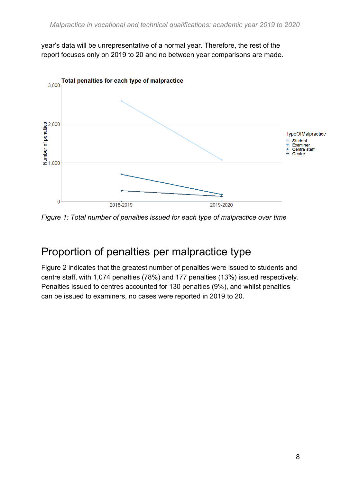year's data will be unrepresentative of a normal year. Therefore, the rest of the report focuses only on 2019 to 20 and no between year comparisons are made.



*Figure 1: Total number of penalties issued for each type of malpractice over time*

#### <span id="page-7-0"></span>Proportion of penalties per malpractice type

Figure 2 indicates that the greatest number of penalties were issued to students and centre staff, with 1,074 penalties (78%) and 177 penalties (13%) issued respectively. Penalties issued to centres accounted for 130 penalties (9%), and whilst penalties can be issued to examiners, no cases were reported in 2019 to 20.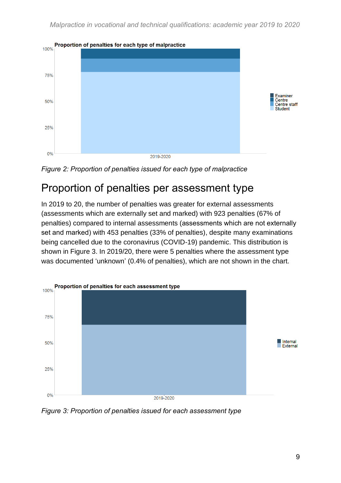

*Figure 2: Proportion of penalties issued for each type of malpractice*

#### <span id="page-8-0"></span>Proportion of penalties per assessment type

In 2019 to 20, the number of penalties was greater for external assessments (assessments which are externally set and marked) with 923 penalties (67% of penalties) compared to internal assessments (assessments which are not externally set and marked) with 453 penalties (33% of penalties), despite many examinations being cancelled due to the coronavirus (COVID-19) pandemic. This distribution is shown in Figure 3. In 2019/20, there were 5 penalties where the assessment type was documented 'unknown' (0.4% of penalties), which are not shown in the chart.



*Figure 3: Proportion of penalties issued for each assessment type*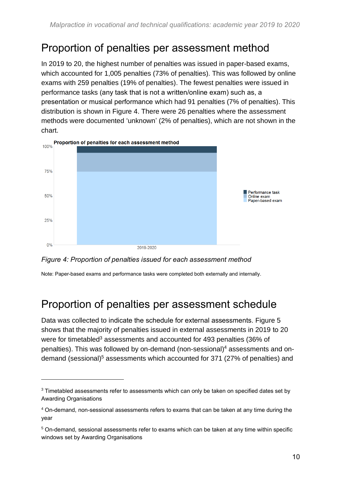#### <span id="page-9-0"></span>Proportion of penalties per assessment method

In 2019 to 20, the highest number of penalties was issued in paper-based exams, which accounted for 1,005 penalties (73% of penalties). This was followed by online exams with 259 penalties (19% of penalties). The fewest penalties were issued in performance tasks (any task that is not a written/online exam) such as, a presentation or musical performance which had 91 penalties (7% of penalties). This distribution is shown in Figure 4. There were 26 penalties where the assessment methods were documented 'unknown' (2% of penalties), which are not shown in the chart.



*Figure 4: Proportion of penalties issued for each assessment method*

Note: Paper-based exams and performance tasks were completed both externally and internally.

#### <span id="page-9-1"></span>Proportion of penalties per assessment schedule

Data was collected to indicate the schedule for external assessments. Figure 5 shows that the majority of penalties issued in external assessments in 2019 to 20 were for timetabled<sup>3</sup> assessments and accounted for 493 penalties (36% of penalties). This was followed by on-demand (non-sessional)<sup>4</sup> assessments and ondemand (sessional)<sup>5</sup> assessments which accounted for 371 (27% of penalties) and

<sup>&</sup>lt;sup>3</sup> Timetabled assessments refer to assessments which can only be taken on specified dates set by Awarding Organisations

<sup>4</sup> On-demand, non-sessional assessments refers to exams that can be taken at any time during the year

<sup>5</sup> On-demand, sessional assessments refer to exams which can be taken at any time within specific windows set by Awarding Organisations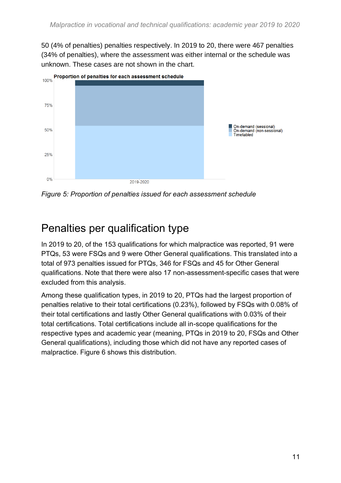50 (4% of penalties) penalties respectively. In 2019 to 20, there were 467 penalties (34% of penalties), where the assessment was either internal or the schedule was unknown. These cases are not shown in the chart.



*Figure 5: Proportion of penalties issued for each assessment schedule*

#### <span id="page-10-0"></span>Penalties per qualification type

In 2019 to 20, of the 153 qualifications for which malpractice was reported, 91 were PTQs, 53 were FSQs and 9 were Other General qualifications. This translated into a total of 973 penalties issued for PTQs, 346 for FSQs and 45 for Other General qualifications. Note that there were also 17 non-assessment-specific cases that were excluded from this analysis.

Among these qualification types, in 2019 to 20, PTQs had the largest proportion of penalties relative to their total certifications (0.23%), followed by FSQs with 0.08% of their total certifications and lastly Other General qualifications with 0.03% of their total certifications. Total certifications include all in-scope qualifications for the respective types and academic year (meaning, PTQs in 2019 to 20, FSQs and Other General qualifications), including those which did not have any reported cases of malpractice. Figure 6 shows this distribution.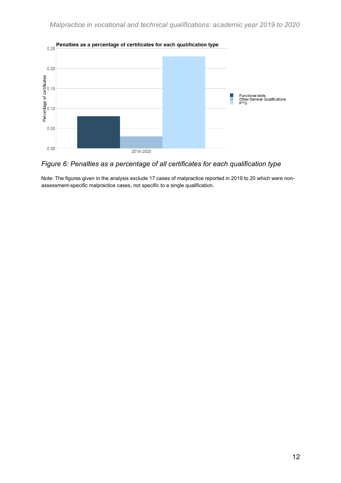

#### *Figure 6: Penalties as a percentage of all certificates for each qualification type*

Note: The figures given in the analysis exclude 17 cases of malpractice reported in 2019 to 20 which were nonassessment-specific malpractice cases, not specific to a single qualification.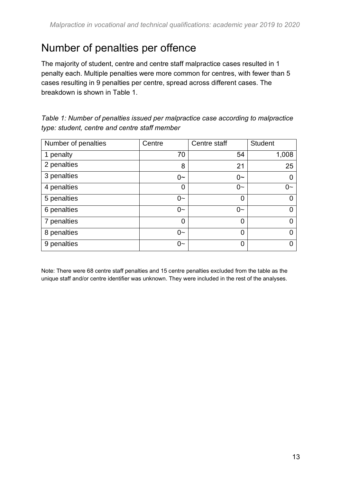#### <span id="page-12-0"></span>Number of penalties per offence

The majority of student, centre and centre staff malpractice cases resulted in 1 penalty each. Multiple penalties were more common for centres, with fewer than 5 cases resulting in 9 penalties per centre, spread across different cases. The breakdown is shown in Table 1.

*Table 1: Number of penalties issued per malpractice case according to malpractice type: student, centre and centre staff member*

| Number of penalties | Centre  | Centre staff | <b>Student</b> |
|---------------------|---------|--------------|----------------|
| 1 penalty           | 70      | 54           | 1,008          |
| 2 penalties         | 8       | 21           | 25             |
| 3 penalties         | $0\sim$ | $0\sim$      | 0              |
| 4 penalties         | 0       | $0-$         | ∩~             |
| 5 penalties         | $0-$    | 0            | 0              |
| 6 penalties         | $0-$    | $0-$         | 0              |
| 7 penalties         | 0       | 0            |                |
| 8 penalties         | $0-$    | 0            | 0              |
| 9 penalties         | $0-$    | 0            |                |

Note: There were 68 centre staff penalties and 15 centre penalties excluded from the table as the unique staff and/or centre identifier was unknown. They were included in the rest of the analyses.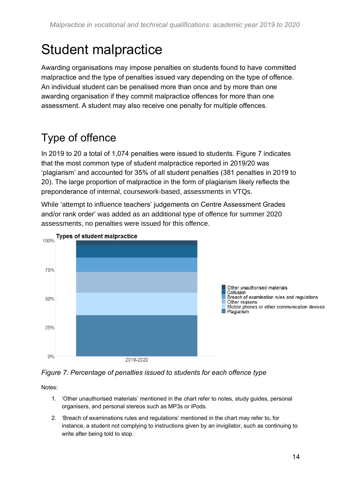# <span id="page-13-0"></span>Student malpractice

Awarding organisations may impose penalties on students found to have committed malpractice and the type of penalties issued vary depending on the type of offence. An individual student can be penalised more than once and by more than one awarding organisation if they commit malpractice offences for more than one assessment. A student may also receive one penalty for multiple offences.

## <span id="page-13-1"></span>Type of offence

In 2019 to 20 a total of 1,074 penalties were issued to students. Figure 7 indicates that the most common type of student malpractice reported in 2019/20 was 'plagiarism' and accounted for 35% of all student penalties (381 penalties in 2019 to 20). The large proportion of malpractice in the form of plagiarism likely reflects the preponderance of internal, coursework-based, assessments in VTQs.

While 'attempt to influence teachers' judgements on Centre Assessment Grades and/or rank order' was added as an additional type of offence for summer 2020 assessments, no penalties were issued for this offence.



#### *Figure 7: Percentage of penalties issued to students for each offence type*

Notes:

- 1. 'Other unauthorised materials' mentioned in the chart refer to notes, study guides, personal organisers, and personal stereos such as MP3s or iPods.
- 2. 'Breach of examinations rules and regulations' mentioned in the chart may refer to, for instance, a student not complying to instructions given by an invigilator, such as continuing to write after being told to stop.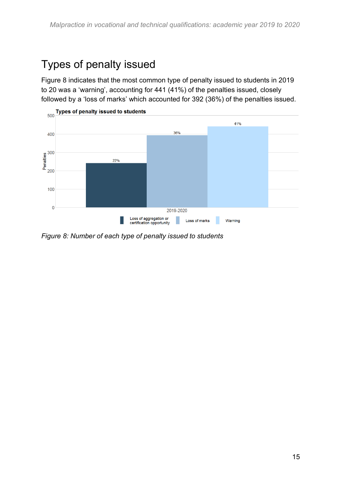#### <span id="page-14-0"></span>Types of penalty issued

Figure 8 indicates that the most common type of penalty issued to students in 2019 to 20 was a 'warning', accounting for 441 (41%) of the penalties issued, closely followed by a 'loss of marks' which accounted for 392 (36%) of the penalties issued.



*Figure 8: Number of each type of penalty issued to students*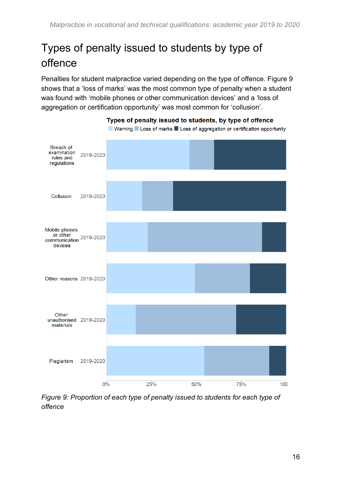## <span id="page-15-0"></span>Types of penalty issued to students by type of offence

Penalties for student malpractice varied depending on the type of offence. Figure 9 shows that a 'loss of marks' was the most common type of penalty when a student was found with 'mobile phones or other communication devices' and a 'loss of aggregation or certification opportunity' was most common for 'collusion'.





*Figure 9: Proportion of each type of penalty issued to students for each type of offence*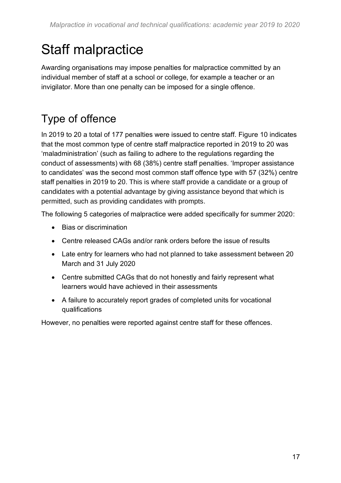# <span id="page-16-0"></span>Staff malpractice

Awarding organisations may impose penalties for malpractice committed by an individual member of staff at a school or college, for example a teacher or an invigilator. More than one penalty can be imposed for a single offence.

## <span id="page-16-1"></span>Type of offence

In 2019 to 20 a total of 177 penalties were issued to centre staff. Figure 10 indicates that the most common type of centre staff malpractice reported in 2019 to 20 was 'maladministration' (such as failing to adhere to the regulations regarding the conduct of assessments) with 68 (38%) centre staff penalties. 'Improper assistance to candidates' was the second most common staff offence type with 57 (32%) centre staff penalties in 2019 to 20. This is where staff provide a candidate or a group of candidates with a potential advantage by giving assistance beyond that which is permitted, such as providing candidates with prompts.

The following 5 categories of malpractice were added specifically for summer 2020:

- Bias or discrimination
- Centre released CAGs and/or rank orders before the issue of results
- Late entry for learners who had not planned to take assessment between 20 March and 31 July 2020
- Centre submitted CAGs that do not honestly and fairly represent what learners would have achieved in their assessments
- A failure to accurately report grades of completed units for vocational qualifications

However, no penalties were reported against centre staff for these offences.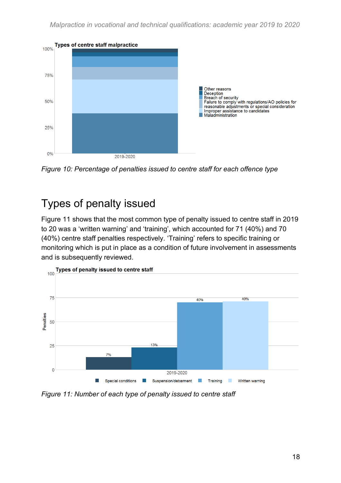

*Figure 10: Percentage of penalties issued to centre staff for each offence type*

#### <span id="page-17-0"></span>Types of penalty issued

Figure 11 shows that the most common type of penalty issued to centre staff in 2019 to 20 was a 'written warning' and 'training', which accounted for 71 (40%) and 70 (40%) centre staff penalties respectively. 'Training' refers to specific training or monitoring which is put in place as a condition of future involvement in assessments and is subsequently reviewed.



*Figure 11: Number of each type of penalty issued to centre staff*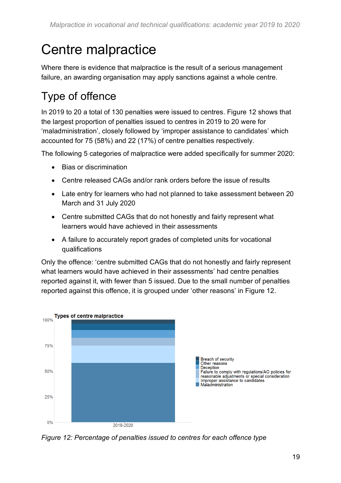# <span id="page-18-0"></span>Centre malpractice

Where there is evidence that malpractice is the result of a serious management failure, an awarding organisation may apply sanctions against a whole centre.

### <span id="page-18-1"></span>Type of offence

In 2019 to 20 a total of 130 penalties were issued to centres. Figure 12 shows that the largest proportion of penalties issued to centres in 2019 to 20 were for 'maladministration', closely followed by 'improper assistance to candidates' which accounted for 75 (58%) and 22 (17%) of centre penalties respectively.

The following 5 categories of malpractice were added specifically for summer 2020:

- Bias or discrimination
- Centre released CAGs and/or rank orders before the issue of results
- Late entry for learners who had not planned to take assessment between 20 March and 31 July 2020
- Centre submitted CAGs that do not honestly and fairly represent what learners would have achieved in their assessments
- A failure to accurately report grades of completed units for vocational qualifications

Only the offence: 'centre submitted CAGs that do not honestly and fairly represent what learners would have achieved in their assessments' had centre penalties reported against it, with fewer than 5 issued. Due to the small number of penalties reported against this offence, it is grouped under 'other reasons' in Figure 12.



*Figure 12: Percentage of penalties issued to centres for each offence type*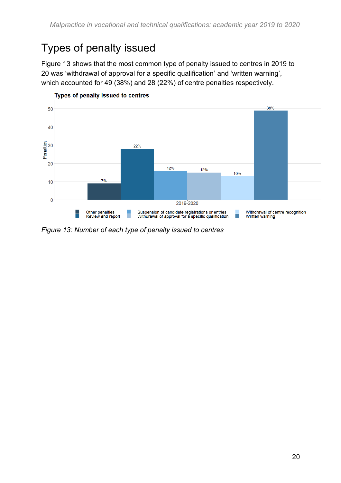## <span id="page-19-0"></span>Types of penalty issued

Figure 13 shows that the most common type of penalty issued to centres in 2019 to 20 was 'withdrawal of approval for a specific qualification' and 'written warning', which accounted for 49 (38%) and 28 (22%) of centre penalties respectively.



Types of penalty issued to centres

*Figure 13: Number of each type of penalty issued to centres*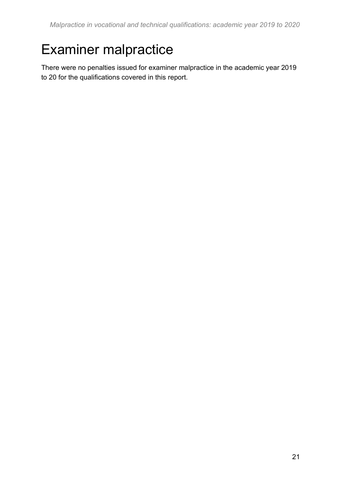## <span id="page-20-0"></span>Examiner malpractice

There were no penalties issued for examiner malpractice in the academic year 2019 to 20 for the qualifications covered in this report.